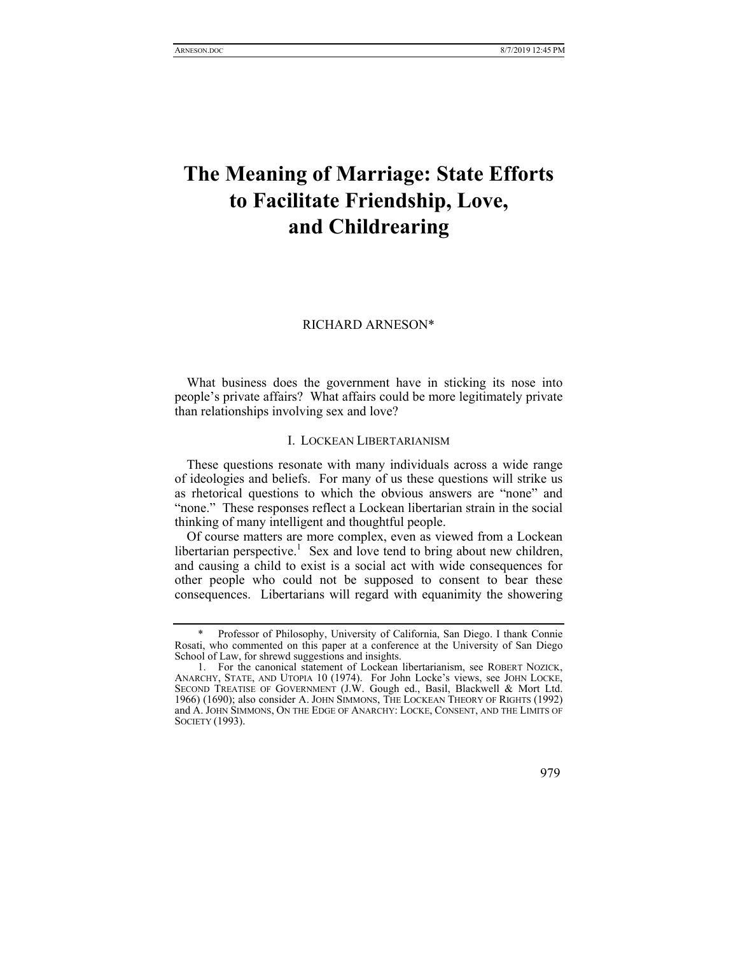# **The Meaning of Marriage: State Efforts to Facilitate Friendship, Love, and Childrearing**

### RICHARD ARNESON\*

What business does the government have in sticking its nose into people's private affairs? What affairs could be more legitimately private than relationships involving sex and love?

# I. LOCKEAN LIBERTARIANISM

These questions resonate with many individuals across a wide range of ideologies and beliefs. For many of us these questions will strike us as rhetorical questions to which the obvious answers are "none" and "none." These responses reflect a Lockean libertarian strain in the social thinking of many intelligent and thoughtful people.

Of course matters are more complex, even as viewed from a Lockean libertarian perspective.<sup>1</sup> Sex and love tend to bring about new children, and causing a child to exist is a social act with wide consequences for other people who could not be supposed to consent to bear these consequences. Libertarians will regard with equanimity the showering

Professor of Philosophy, University of California, San Diego. I thank Connie Rosati, who commented on this paper at a conference at the University of San Diego School of Law, for shrewd suggestions and insights.

 <sup>1.</sup> For the canonical statement of Lockean libertarianism, see ROBERT NOZICK, ANARCHY, STATE, AND UTOPIA 10 (1974). For John Locke's views, see JOHN LOCKE, SECOND TREATISE OF GOVERNMENT (J.W. Gough ed., Basil, Blackwell & Mort Ltd. 1966) (1690); also consider A. JOHN SIMMONS, THE LOCKEAN THEORY OF RIGHTS (1992) and A. JOHN SIMMONS, ON THE EDGE OF ANARCHY: LOCKE, CONSENT, AND THE LIMITS OF SOCIETY (1993).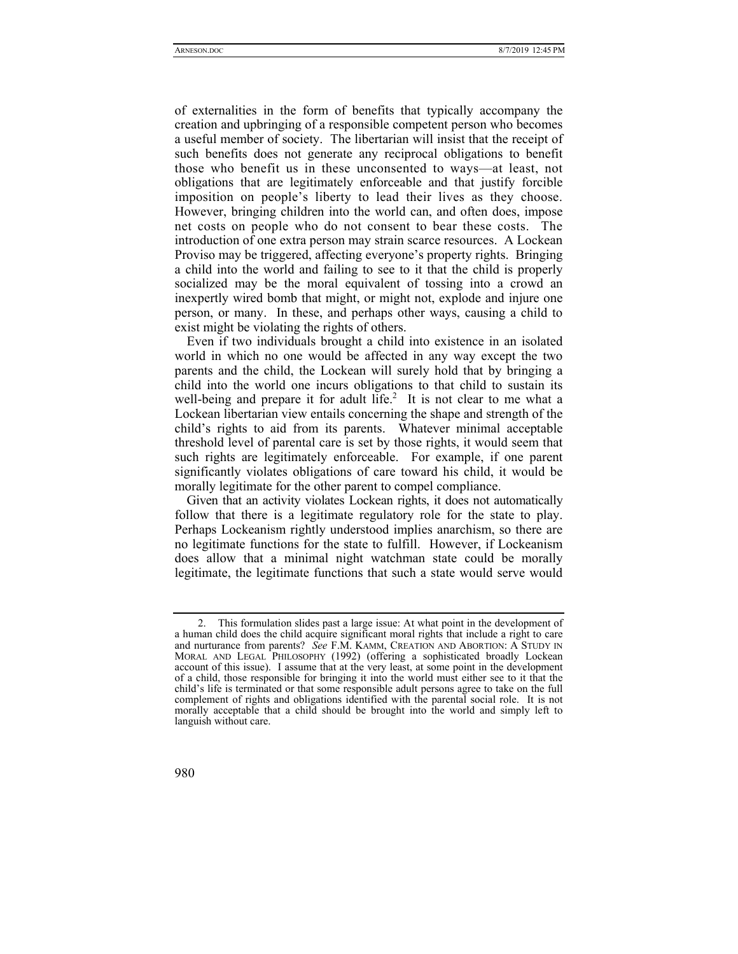of externalities in the form of benefits that typically accompany the creation and upbringing of a responsible competent person who becomes a useful member of society. The libertarian will insist that the receipt of such benefits does not generate any reciprocal obligations to benefit those who benefit us in these unconsented to ways—at least, not obligations that are legitimately enforceable and that justify forcible imposition on people's liberty to lead their lives as they choose. However, bringing children into the world can, and often does, impose net costs on people who do not consent to bear these costs. The introduction of one extra person may strain scarce resources. A Lockean Proviso may be triggered, affecting everyone's property rights. Bringing a child into the world and failing to see to it that the child is properly socialized may be the moral equivalent of tossing into a crowd an inexpertly wired bomb that might, or might not, explode and injure one person, or many. In these, and perhaps other ways, causing a child to exist might be violating the rights of others.

Even if two individuals brought a child into existence in an isolated world in which no one would be affected in any way except the two parents and the child, the Lockean will surely hold that by bringing a child into the world one incurs obligations to that child to sustain its well-being and prepare it for adult  $\text{life.}^2$  It is not clear to me what a Lockean libertarian view entails concerning the shape and strength of the child's rights to aid from its parents. Whatever minimal acceptable threshold level of parental care is set by those rights, it would seem that such rights are legitimately enforceable. For example, if one parent significantly violates obligations of care toward his child, it would be morally legitimate for the other parent to compel compliance.

Given that an activity violates Lockean rights, it does not automatically follow that there is a legitimate regulatory role for the state to play. Perhaps Lockeanism rightly understood implies anarchism, so there are no legitimate functions for the state to fulfill. However, if Lockeanism does allow that a minimal night watchman state could be morally legitimate, the legitimate functions that such a state would serve would

 <sup>2.</sup> This formulation slides past a large issue: At what point in the development of a human child does the child acquire significant moral rights that include a right to care and nurturance from parents? *See* F.M. KAMM, CREATION AND ABORTION: A STUDY IN MORAL AND LEGAL PHILOSOPHY (1992) (offering a sophisticated broadly Lockean account of this issue). I assume that at the very least, at some point in the development of a child, those responsible for bringing it into the world must either see to it that the child's life is terminated or that some responsible adult persons agree to take on the full complement of rights and obligations identified with the parental social role. It is not morally acceptable that a child should be brought into the world and simply left to languish without care.

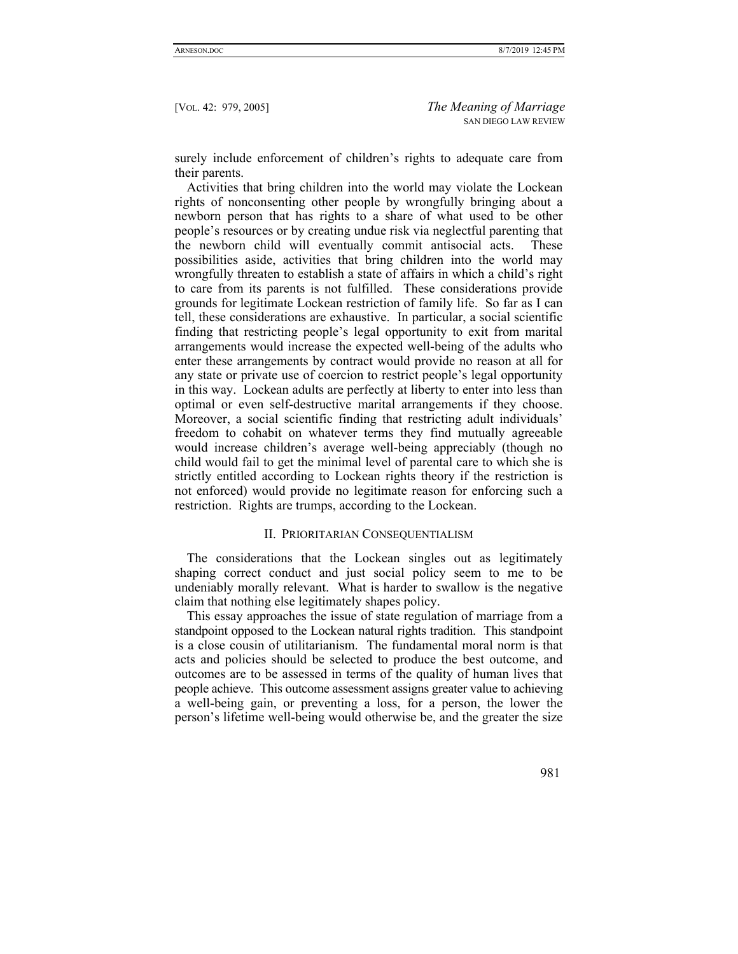surely include enforcement of children's rights to adequate care from their parents.

Activities that bring children into the world may violate the Lockean rights of nonconsenting other people by wrongfully bringing about a newborn person that has rights to a share of what used to be other people's resources or by creating undue risk via neglectful parenting that the newborn child will eventually commit antisocial acts. These possibilities aside, activities that bring children into the world may wrongfully threaten to establish a state of affairs in which a child's right to care from its parents is not fulfilled. These considerations provide grounds for legitimate Lockean restriction of family life. So far as I can tell, these considerations are exhaustive. In particular, a social scientific finding that restricting people's legal opportunity to exit from marital arrangements would increase the expected well-being of the adults who enter these arrangements by contract would provide no reason at all for any state or private use of coercion to restrict people's legal opportunity in this way. Lockean adults are perfectly at liberty to enter into less than optimal or even self-destructive marital arrangements if they choose. Moreover, a social scientific finding that restricting adult individuals' freedom to cohabit on whatever terms they find mutually agreeable would increase children's average well-being appreciably (though no child would fail to get the minimal level of parental care to which she is strictly entitled according to Lockean rights theory if the restriction is not enforced) would provide no legitimate reason for enforcing such a restriction. Rights are trumps, according to the Lockean.

# II. PRIORITARIAN CONSEQUENTIALISM

The considerations that the Lockean singles out as legitimately shaping correct conduct and just social policy seem to me to be undeniably morally relevant. What is harder to swallow is the negative claim that nothing else legitimately shapes policy.

This essay approaches the issue of state regulation of marriage from a standpoint opposed to the Lockean natural rights tradition. This standpoint is a close cousin of utilitarianism. The fundamental moral norm is that acts and policies should be selected to produce the best outcome, and outcomes are to be assessed in terms of the quality of human lives that people achieve. This outcome assessment assigns greater value to achieving a well-being gain, or preventing a loss, for a person, the lower the person's lifetime well-being would otherwise be, and the greater the size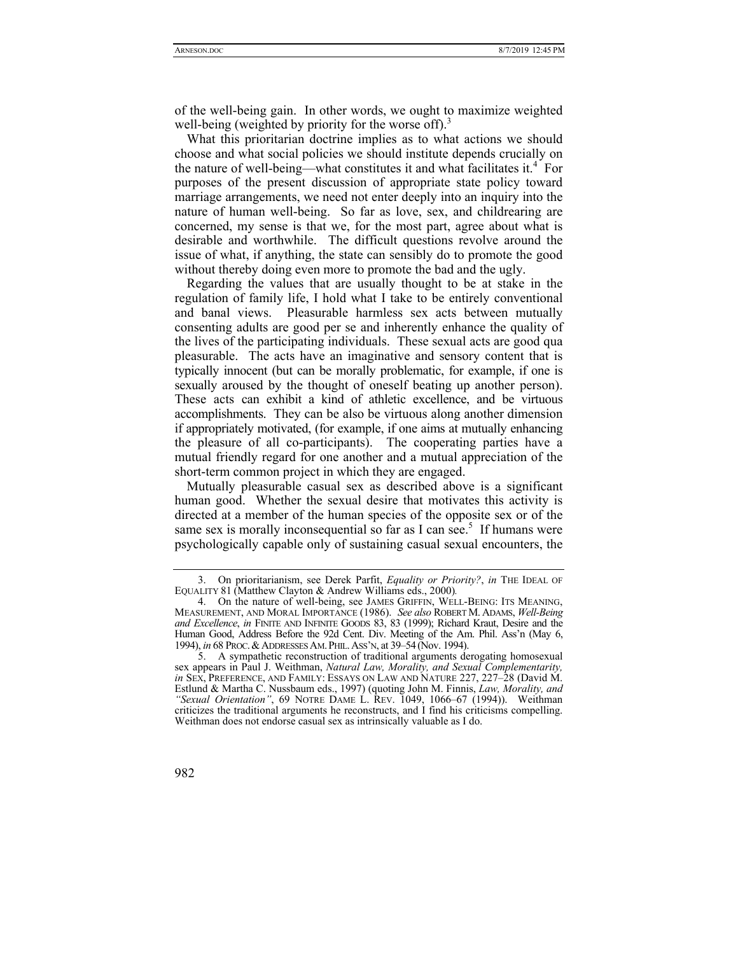of the well-being gain. In other words, we ought to maximize weighted well-being (weighted by priority for the worse off).<sup>3</sup>

What this prioritarian doctrine implies as to what actions we should choose and what social policies we should institute depends crucially on the nature of well-being—what constitutes it and what facilitates it.<sup>4</sup> For purposes of the present discussion of appropriate state policy toward marriage arrangements, we need not enter deeply into an inquiry into the nature of human well-being. So far as love, sex, and childrearing are concerned, my sense is that we, for the most part, agree about what is desirable and worthwhile. The difficult questions revolve around the issue of what, if anything, the state can sensibly do to promote the good without thereby doing even more to promote the bad and the ugly.

Regarding the values that are usually thought to be at stake in the regulation of family life, I hold what I take to be entirely conventional and banal views. Pleasurable harmless sex acts between mutually consenting adults are good per se and inherently enhance the quality of the lives of the participating individuals. These sexual acts are good qua pleasurable. The acts have an imaginative and sensory content that is typically innocent (but can be morally problematic, for example, if one is sexually aroused by the thought of oneself beating up another person). These acts can exhibit a kind of athletic excellence, and be virtuous accomplishments. They can be also be virtuous along another dimension if appropriately motivated, (for example, if one aims at mutually enhancing the pleasure of all co-participants). The cooperating parties have a mutual friendly regard for one another and a mutual appreciation of the short-term common project in which they are engaged.

Mutually pleasurable casual sex as described above is a significant human good. Whether the sexual desire that motivates this activity is directed at a member of the human species of the opposite sex or of the same sex is morally inconsequential so far as I can see.<sup>5</sup> If humans were psychologically capable only of sustaining casual sexual encounters, the

 <sup>5.</sup> A sympathetic reconstruction of traditional arguments derogating homosexual sex appears in Paul J. Weithman, *Natural Law, Morality, and Sexual Complementarity, in* SEX, PREFERENCE, AND FAMILY: ESSAYS ON LAW AND NATURE 227, 227–28 (David M. Estlund & Martha C. Nussbaum eds., 1997) (quoting John M. Finnis, *Law, Morality, and "Sexual Orientation"*, 69 NOTRE DAME L. REV. 1049, 1066–67 (1994)). Weithman criticizes the traditional arguments he reconstructs, and I find his criticisms compelling. Weithman does not endorse casual sex as intrinsically valuable as I do.



 <sup>3.</sup> On prioritarianism, see Derek Parfit, *Equality or Priority?*, *in* THE IDEAL OF EQUALITY 81 (Matthew Clayton & Andrew Williams eds., 2000)*.* 

 <sup>4.</sup> On the nature of well-being, see JAMES GRIFFIN, WELL-BEING: ITS MEANING, MEASUREMENT, AND MORAL IMPORTANCE (1986). *See also* ROBERT M. ADAMS, *Well-Being and Excellence*, *in* FINITE AND INFINITE GOODS 83, 83 (1999); Richard Kraut, Desire and the Human Good, Address Before the 92d Cent. Div. Meeting of the Am. Phil. Ass'n (May 6, 1994), *in* 68 PROC.&ADDRESSES AM.PHIL.ASS'N, at 39–54 (Nov. 1994).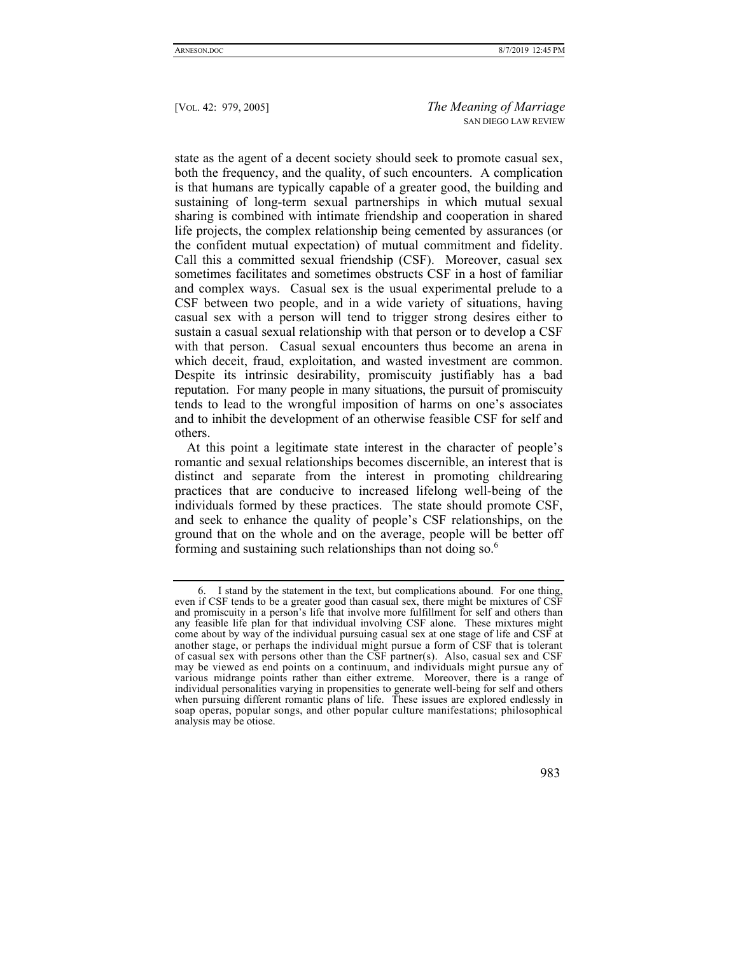state as the agent of a decent society should seek to promote casual sex, both the frequency, and the quality, of such encounters. A complication is that humans are typically capable of a greater good, the building and sustaining of long-term sexual partnerships in which mutual sexual sharing is combined with intimate friendship and cooperation in shared life projects, the complex relationship being cemented by assurances (or the confident mutual expectation) of mutual commitment and fidelity. Call this a committed sexual friendship (CSF). Moreover, casual sex sometimes facilitates and sometimes obstructs CSF in a host of familiar and complex ways. Casual sex is the usual experimental prelude to a CSF between two people, and in a wide variety of situations, having casual sex with a person will tend to trigger strong desires either to sustain a casual sexual relationship with that person or to develop a CSF with that person. Casual sexual encounters thus become an arena in which deceit, fraud, exploitation, and wasted investment are common. Despite its intrinsic desirability, promiscuity justifiably has a bad reputation. For many people in many situations, the pursuit of promiscuity tends to lead to the wrongful imposition of harms on one's associates and to inhibit the development of an otherwise feasible CSF for self and others.

At this point a legitimate state interest in the character of people's romantic and sexual relationships becomes discernible, an interest that is distinct and separate from the interest in promoting childrearing practices that are conducive to increased lifelong well-being of the individuals formed by these practices. The state should promote CSF, and seek to enhance the quality of people's CSF relationships, on the ground that on the whole and on the average, people will be better off forming and sustaining such relationships than not doing so.<sup>6</sup>

 <sup>6.</sup> I stand by the statement in the text, but complications abound. For one thing, even if CSF tends to be a greater good than casual sex, there might be mixtures of CSF and promiscuity in a person's life that involve more fulfillment for self and others than any feasible life plan for that individual involving CSF alone. These mixtures might come about by way of the individual pursuing casual sex at one stage of life and CSF at another stage, or perhaps the individual might pursue a form of CSF that is tolerant of casual sex with persons other than the CSF partner(s). Also, casual sex and CSF may be viewed as end points on a continuum, and individuals might pursue any of various midrange points rather than either extreme. Moreover, there is a range of individual personalities varying in propensities to generate well-being for self and others when pursuing different romantic plans of life. These issues are explored endlessly in soap operas, popular songs, and other popular culture manifestations; philosophical analysis may be otiose.

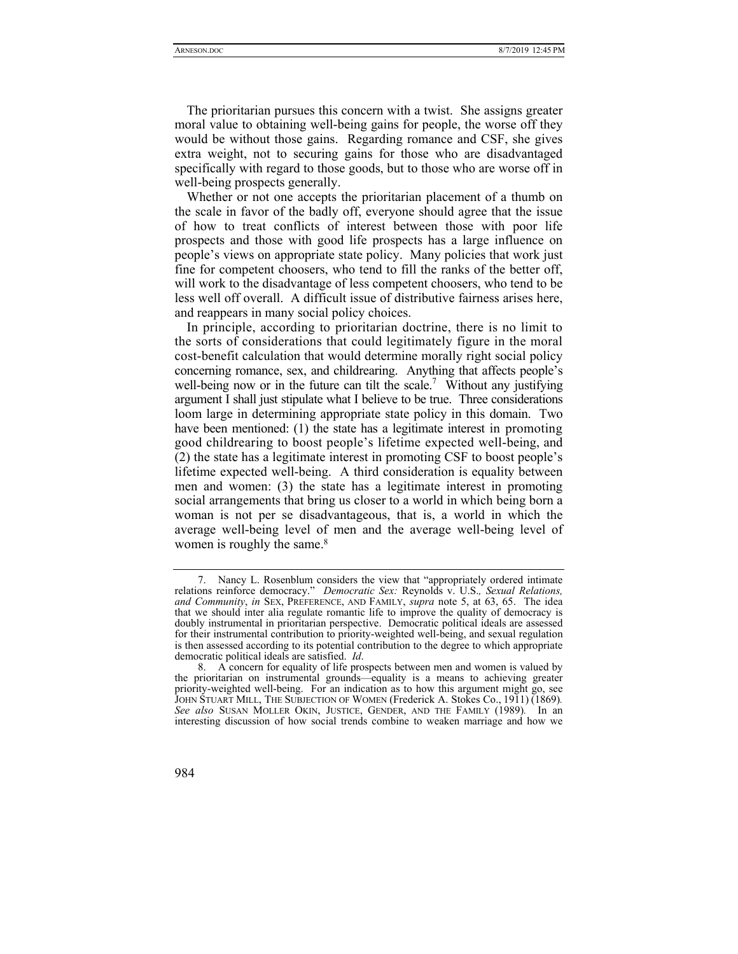The prioritarian pursues this concern with a twist. She assigns greater moral value to obtaining well-being gains for people, the worse off they would be without those gains. Regarding romance and CSF, she gives extra weight, not to securing gains for those who are disadvantaged specifically with regard to those goods, but to those who are worse off in well-being prospects generally.

Whether or not one accepts the prioritarian placement of a thumb on the scale in favor of the badly off, everyone should agree that the issue of how to treat conflicts of interest between those with poor life prospects and those with good life prospects has a large influence on people's views on appropriate state policy. Many policies that work just fine for competent choosers, who tend to fill the ranks of the better off, will work to the disadvantage of less competent choosers, who tend to be less well off overall. A difficult issue of distributive fairness arises here, and reappears in many social policy choices.

In principle, according to prioritarian doctrine, there is no limit to the sorts of considerations that could legitimately figure in the moral cost-benefit calculation that would determine morally right social policy concerning romance, sex, and childrearing. Anything that affects people's well-being now or in the future can tilt the scale.<sup>7</sup> Without any justifying argument I shall just stipulate what I believe to be true. Three considerations loom large in determining appropriate state policy in this domain. Two have been mentioned: (1) the state has a legitimate interest in promoting good childrearing to boost people's lifetime expected well-being, and (2) the state has a legitimate interest in promoting CSF to boost people's lifetime expected well-being. A third consideration is equality between men and women: (3) the state has a legitimate interest in promoting social arrangements that bring us closer to a world in which being born a woman is not per se disadvantageous, that is, a world in which the average well-being level of men and the average well-being level of women is roughly the same.<sup>8</sup>

 <sup>8.</sup> A concern for equality of life prospects between men and women is valued by the prioritarian on instrumental grounds—equality is a means to achieving greater priority-weighted well-being. For an indication as to how this argument might go, see JOHN STUART MILL, THE SUBJECTION OF WOMEN (Frederick A. Stokes Co., 1911) (1869)*. See also* SUSAN MOLLER OKIN, JUSTICE, GENDER, AND THE FAMILY (1989)*.* In an interesting discussion of how social trends combine to weaken marriage and how we



 <sup>7.</sup> Nancy L. Rosenblum considers the view that "appropriately ordered intimate relations reinforce democracy." *Democratic Sex:* Reynolds v. U.S.*, Sexual Relations, and Community*, *in* SEX, PREFERENCE, AND FAMILY, *supra* note 5, at 63, 65. The idea that we should inter alia regulate romantic life to improve the quality of democracy is doubly instrumental in prioritarian perspective. Democratic political ideals are assessed for their instrumental contribution to priority-weighted well-being, and sexual regulation is then assessed according to its potential contribution to the degree to which appropriate democratic political ideals are satisfied. *Id*.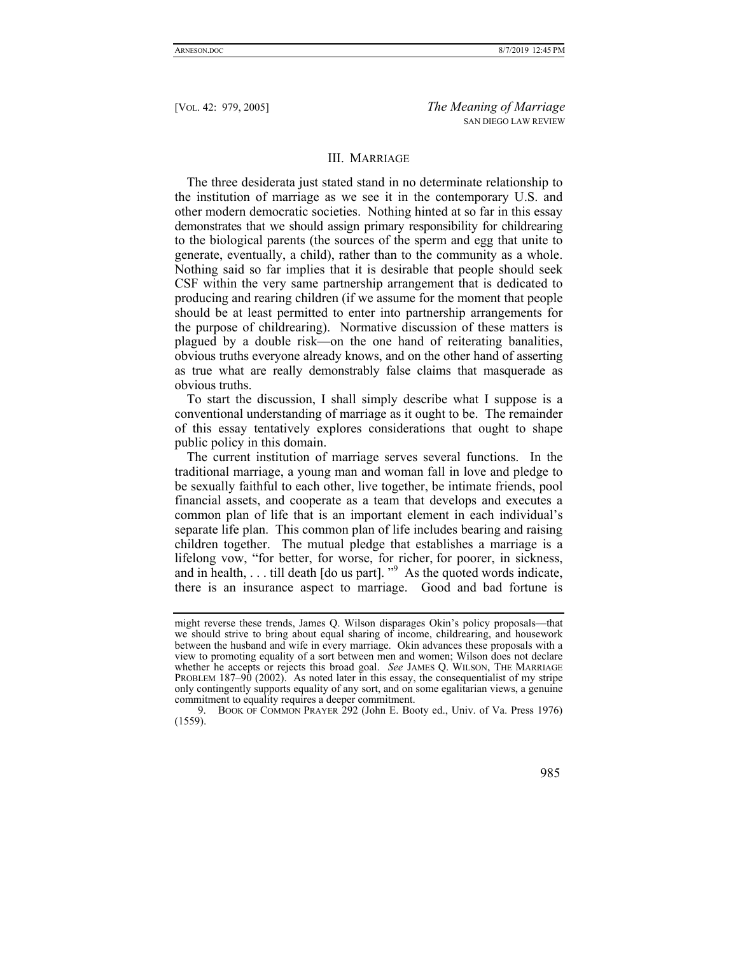#### III. MARRIAGE

The three desiderata just stated stand in no determinate relationship to the institution of marriage as we see it in the contemporary U.S. and other modern democratic societies. Nothing hinted at so far in this essay demonstrates that we should assign primary responsibility for childrearing to the biological parents (the sources of the sperm and egg that unite to generate, eventually, a child), rather than to the community as a whole. Nothing said so far implies that it is desirable that people should seek CSF within the very same partnership arrangement that is dedicated to producing and rearing children (if we assume for the moment that people should be at least permitted to enter into partnership arrangements for the purpose of childrearing). Normative discussion of these matters is plagued by a double risk—on the one hand of reiterating banalities, obvious truths everyone already knows, and on the other hand of asserting as true what are really demonstrably false claims that masquerade as obvious truths.

To start the discussion, I shall simply describe what I suppose is a conventional understanding of marriage as it ought to be. The remainder of this essay tentatively explores considerations that ought to shape public policy in this domain.

The current institution of marriage serves several functions. In the traditional marriage, a young man and woman fall in love and pledge to be sexually faithful to each other, live together, be intimate friends, pool financial assets, and cooperate as a team that develops and executes a common plan of life that is an important element in each individual's separate life plan. This common plan of life includes bearing and raising children together. The mutual pledge that establishes a marriage is a lifelong vow, "for better, for worse, for richer, for poorer, in sickness, and in health,  $\dots$  till death [do us part].  $\cdot$ <sup>9</sup> As the quoted words indicate, there is an insurance aspect to marriage. Good and bad fortune is

 <sup>9.</sup> BOOK OF COMMON PRAYER 292 (John E. Booty ed., Univ. of Va. Press 1976) (1559).



might reverse these trends, James Q. Wilson disparages Okin's policy proposals—that we should strive to bring about equal sharing of income, childrearing, and housework between the husband and wife in every marriage. Okin advances these proposals with a view to promoting equality of a sort between men and women; Wilson does not declare whether he accepts or rejects this broad goal. *See JAMES Q. WILSON*, THE MARRIAGE PROBLEM 187–90 (2002). As noted later in this essay, the consequentialist of my stripe only contingently supports equality of any sort, and on some egalitarian views, a genuine commitment to equality requires a deeper commitment.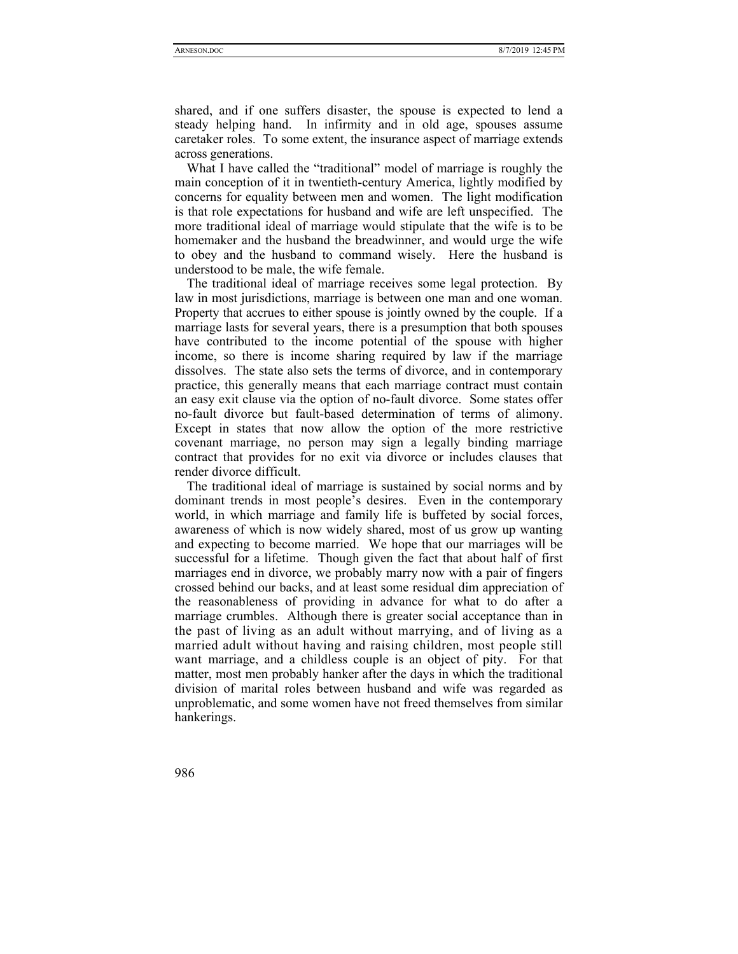shared, and if one suffers disaster, the spouse is expected to lend a steady helping hand. In infirmity and in old age, spouses assume caretaker roles. To some extent, the insurance aspect of marriage extends across generations.

What I have called the "traditional" model of marriage is roughly the main conception of it in twentieth-century America, lightly modified by concerns for equality between men and women. The light modification is that role expectations for husband and wife are left unspecified. The more traditional ideal of marriage would stipulate that the wife is to be homemaker and the husband the breadwinner, and would urge the wife to obey and the husband to command wisely. Here the husband is understood to be male, the wife female.

The traditional ideal of marriage receives some legal protection. By law in most jurisdictions, marriage is between one man and one woman. Property that accrues to either spouse is jointly owned by the couple. If a marriage lasts for several years, there is a presumption that both spouses have contributed to the income potential of the spouse with higher income, so there is income sharing required by law if the marriage dissolves. The state also sets the terms of divorce, and in contemporary practice, this generally means that each marriage contract must contain an easy exit clause via the option of no-fault divorce. Some states offer no-fault divorce but fault-based determination of terms of alimony. Except in states that now allow the option of the more restrictive covenant marriage, no person may sign a legally binding marriage contract that provides for no exit via divorce or includes clauses that render divorce difficult.

The traditional ideal of marriage is sustained by social norms and by dominant trends in most people's desires. Even in the contemporary world, in which marriage and family life is buffeted by social forces, awareness of which is now widely shared, most of us grow up wanting and expecting to become married. We hope that our marriages will be successful for a lifetime. Though given the fact that about half of first marriages end in divorce, we probably marry now with a pair of fingers crossed behind our backs, and at least some residual dim appreciation of the reasonableness of providing in advance for what to do after a marriage crumbles. Although there is greater social acceptance than in the past of living as an adult without marrying, and of living as a married adult without having and raising children, most people still want marriage, and a childless couple is an object of pity. For that matter, most men probably hanker after the days in which the traditional division of marital roles between husband and wife was regarded as unproblematic, and some women have not freed themselves from similar hankerings.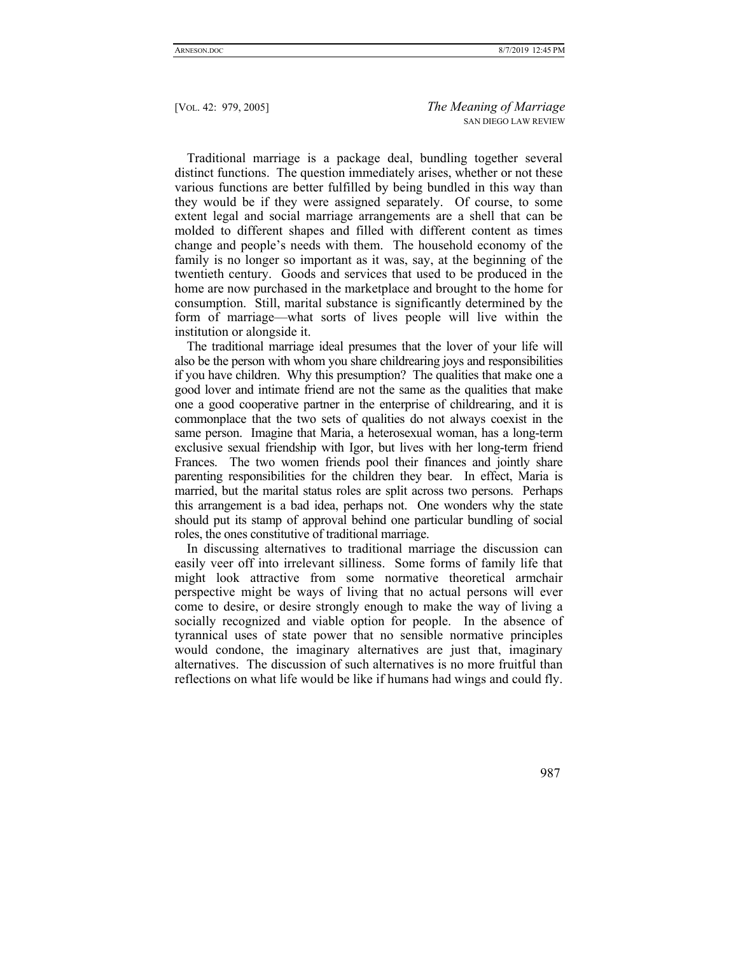Traditional marriage is a package deal, bundling together several distinct functions. The question immediately arises, whether or not these various functions are better fulfilled by being bundled in this way than they would be if they were assigned separately. Of course, to some extent legal and social marriage arrangements are a shell that can be molded to different shapes and filled with different content as times change and people's needs with them. The household economy of the family is no longer so important as it was, say, at the beginning of the twentieth century. Goods and services that used to be produced in the home are now purchased in the marketplace and brought to the home for consumption. Still, marital substance is significantly determined by the form of marriage—what sorts of lives people will live within the institution or alongside it.

The traditional marriage ideal presumes that the lover of your life will also be the person with whom you share childrearing joys and responsibilities if you have children. Why this presumption? The qualities that make one a good lover and intimate friend are not the same as the qualities that make one a good cooperative partner in the enterprise of childrearing, and it is commonplace that the two sets of qualities do not always coexist in the same person. Imagine that Maria, a heterosexual woman, has a long-term exclusive sexual friendship with Igor, but lives with her long-term friend Frances. The two women friends pool their finances and jointly share parenting responsibilities for the children they bear. In effect, Maria is married, but the marital status roles are split across two persons. Perhaps this arrangement is a bad idea, perhaps not. One wonders why the state should put its stamp of approval behind one particular bundling of social roles, the ones constitutive of traditional marriage.

In discussing alternatives to traditional marriage the discussion can easily veer off into irrelevant silliness. Some forms of family life that might look attractive from some normative theoretical armchair perspective might be ways of living that no actual persons will ever come to desire, or desire strongly enough to make the way of living a socially recognized and viable option for people. In the absence of tyrannical uses of state power that no sensible normative principles would condone, the imaginary alternatives are just that, imaginary alternatives. The discussion of such alternatives is no more fruitful than reflections on what life would be like if humans had wings and could fly.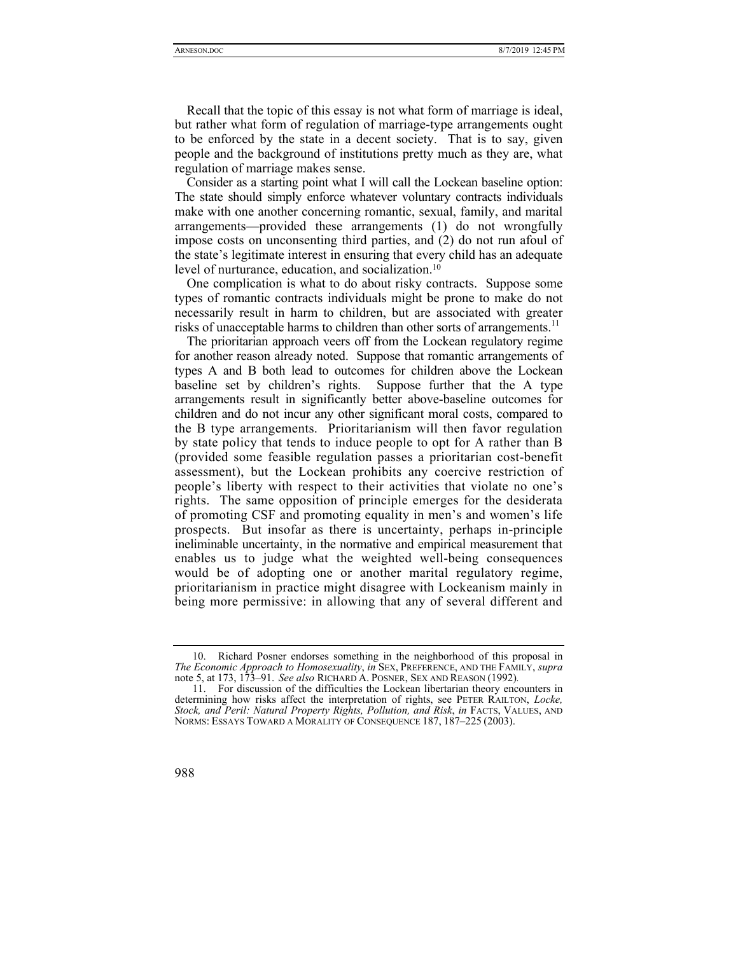Recall that the topic of this essay is not what form of marriage is ideal, but rather what form of regulation of marriage-type arrangements ought to be enforced by the state in a decent society. That is to say, given people and the background of institutions pretty much as they are, what regulation of marriage makes sense.

Consider as a starting point what I will call the Lockean baseline option: The state should simply enforce whatever voluntary contracts individuals make with one another concerning romantic, sexual, family, and marital arrangements—provided these arrangements (1) do not wrongfully impose costs on unconsenting third parties, and (2) do not run afoul of the state's legitimate interest in ensuring that every child has an adequate level of nurturance, education, and socialization.10

One complication is what to do about risky contracts. Suppose some types of romantic contracts individuals might be prone to make do not necessarily result in harm to children, but are associated with greater risks of unacceptable harms to children than other sorts of arrangements.<sup>11</sup>

The prioritarian approach veers off from the Lockean regulatory regime for another reason already noted. Suppose that romantic arrangements of types A and B both lead to outcomes for children above the Lockean baseline set by children's rights. Suppose further that the A type arrangements result in significantly better above-baseline outcomes for children and do not incur any other significant moral costs, compared to the B type arrangements. Prioritarianism will then favor regulation by state policy that tends to induce people to opt for A rather than B (provided some feasible regulation passes a prioritarian cost-benefit assessment), but the Lockean prohibits any coercive restriction of people's liberty with respect to their activities that violate no one's rights. The same opposition of principle emerges for the desiderata of promoting CSF and promoting equality in men's and women's life prospects. But insofar as there is uncertainty, perhaps in-principle ineliminable uncertainty, in the normative and empirical measurement that enables us to judge what the weighted well-being consequences would be of adopting one or another marital regulatory regime, prioritarianism in practice might disagree with Lockeanism mainly in being more permissive: in allowing that any of several different and

 <sup>10.</sup> Richard Posner endorses something in the neighborhood of this proposal in *The Economic Approach to Homosexuality*, *in* SEX, PREFERENCE, AND THE FAMILY, *supra* note 5, at 173, 173–91. *See also* RICHARD A. POSNER, SEX AND REASON (1992)*.* 

 <sup>11.</sup> For discussion of the difficulties the Lockean libertarian theory encounters in determining how risks affect the interpretation of rights, see PETER RAILTON, *Locke, Stock, and Peril: Natural Property Rights, Pollution, and Risk*, *in* FACTS, VALUES, AND NORMS: ESSAYS TOWARD A MORALITY OF CONSEQUENCE 187, 187–225 (2003).

<sup>988</sup>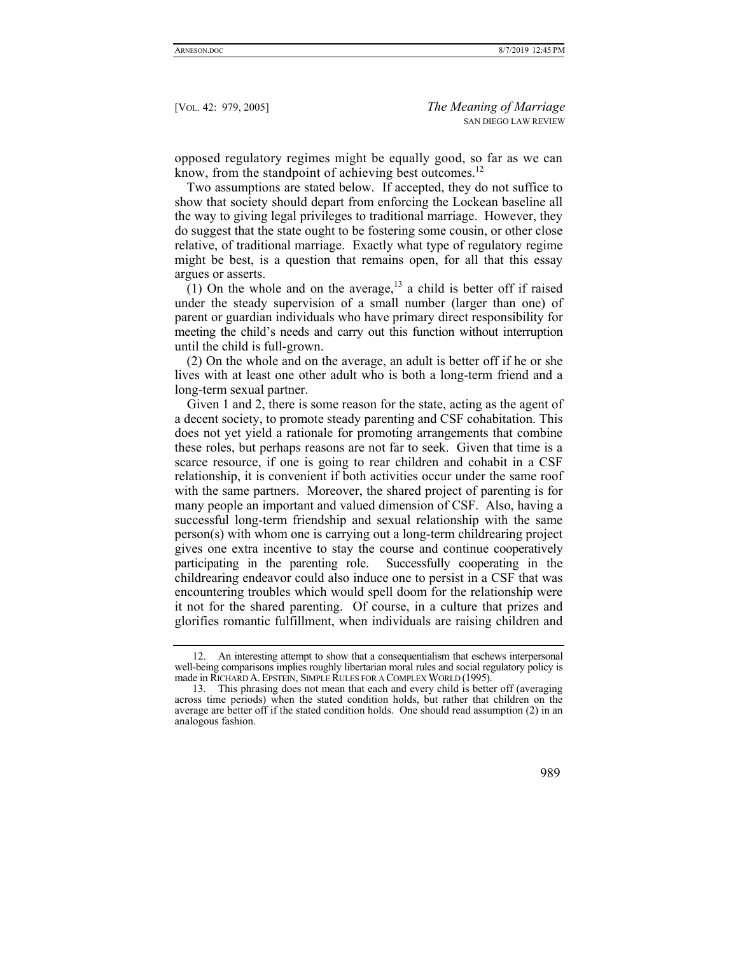opposed regulatory regimes might be equally good, so far as we can know, from the standpoint of achieving best outcomes.<sup>12</sup>

Two assumptions are stated below. If accepted, they do not suffice to show that society should depart from enforcing the Lockean baseline all the way to giving legal privileges to traditional marriage. However, they do suggest that the state ought to be fostering some cousin, or other close relative, of traditional marriage. Exactly what type of regulatory regime might be best, is a question that remains open, for all that this essay argues or asserts.

(1) On the whole and on the average,  $13$  a child is better off if raised under the steady supervision of a small number (larger than one) of parent or guardian individuals who have primary direct responsibility for meeting the child's needs and carry out this function without interruption until the child is full-grown.

(2) On the whole and on the average, an adult is better off if he or she lives with at least one other adult who is both a long-term friend and a long-term sexual partner.

Given 1 and 2, there is some reason for the state, acting as the agent of a decent society, to promote steady parenting and CSF cohabitation. This does not yet yield a rationale for promoting arrangements that combine these roles, but perhaps reasons are not far to seek. Given that time is a scarce resource, if one is going to rear children and cohabit in a CSF relationship, it is convenient if both activities occur under the same roof with the same partners. Moreover, the shared project of parenting is for many people an important and valued dimension of CSF. Also, having a successful long-term friendship and sexual relationship with the same person(s) with whom one is carrying out a long-term childrearing project gives one extra incentive to stay the course and continue cooperatively participating in the parenting role. Successfully cooperating in the childrearing endeavor could also induce one to persist in a CSF that was encountering troubles which would spell doom for the relationship were it not for the shared parenting. Of course, in a culture that prizes and glorifies romantic fulfillment, when individuals are raising children and

 <sup>12.</sup> An interesting attempt to show that a consequentialism that eschews interpersonal well-being comparisons implies roughly libertarian moral rules and social regulatory policy is made in RICHARD A.EPSTEIN, SIMPLE RULES FOR A COMPLEX WORLD (1995).

 <sup>13.</sup> This phrasing does not mean that each and every child is better off (averaging across time periods) when the stated condition holds, but rather that children on the average are better off if the stated condition holds. One should read assumption (2) in an analogous fashion.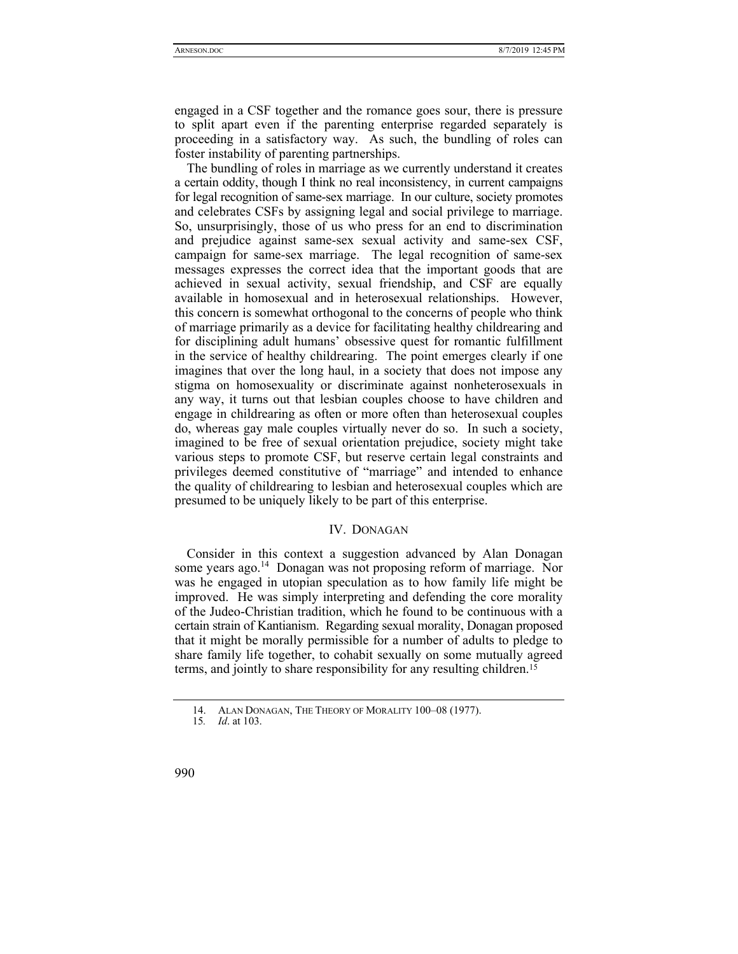engaged in a CSF together and the romance goes sour, there is pressure to split apart even if the parenting enterprise regarded separately is proceeding in a satisfactory way. As such, the bundling of roles can foster instability of parenting partnerships.

The bundling of roles in marriage as we currently understand it creates a certain oddity, though I think no real inconsistency, in current campaigns for legal recognition of same-sex marriage. In our culture, society promotes and celebrates CSFs by assigning legal and social privilege to marriage. So, unsurprisingly, those of us who press for an end to discrimination and prejudice against same-sex sexual activity and same-sex CSF, campaign for same-sex marriage. The legal recognition of same-sex messages expresses the correct idea that the important goods that are achieved in sexual activity, sexual friendship, and CSF are equally available in homosexual and in heterosexual relationships. However, this concern is somewhat orthogonal to the concerns of people who think of marriage primarily as a device for facilitating healthy childrearing and for disciplining adult humans' obsessive quest for romantic fulfillment in the service of healthy childrearing. The point emerges clearly if one imagines that over the long haul, in a society that does not impose any stigma on homosexuality or discriminate against nonheterosexuals in any way, it turns out that lesbian couples choose to have children and engage in childrearing as often or more often than heterosexual couples do, whereas gay male couples virtually never do so. In such a society, imagined to be free of sexual orientation prejudice, society might take various steps to promote CSF, but reserve certain legal constraints and privileges deemed constitutive of "marriage" and intended to enhance the quality of childrearing to lesbian and heterosexual couples which are presumed to be uniquely likely to be part of this enterprise.

# IV. DONAGAN

Consider in this context a suggestion advanced by Alan Donagan some years ago.<sup>14</sup> Donagan was not proposing reform of marriage. Nor was he engaged in utopian speculation as to how family life might be improved. He was simply interpreting and defending the core morality of the Judeo-Christian tradition, which he found to be continuous with a certain strain of Kantianism. Regarding sexual morality, Donagan proposed that it might be morally permissible for a number of adults to pledge to share family life together, to cohabit sexually on some mutually agreed terms, and jointly to share responsibility for any resulting children.15

 <sup>14.</sup> ALAN DONAGAN, THE THEORY OF MORALITY 100–08 (1977).

<sup>15</sup>*. Id*. at 103.

<sup>990</sup>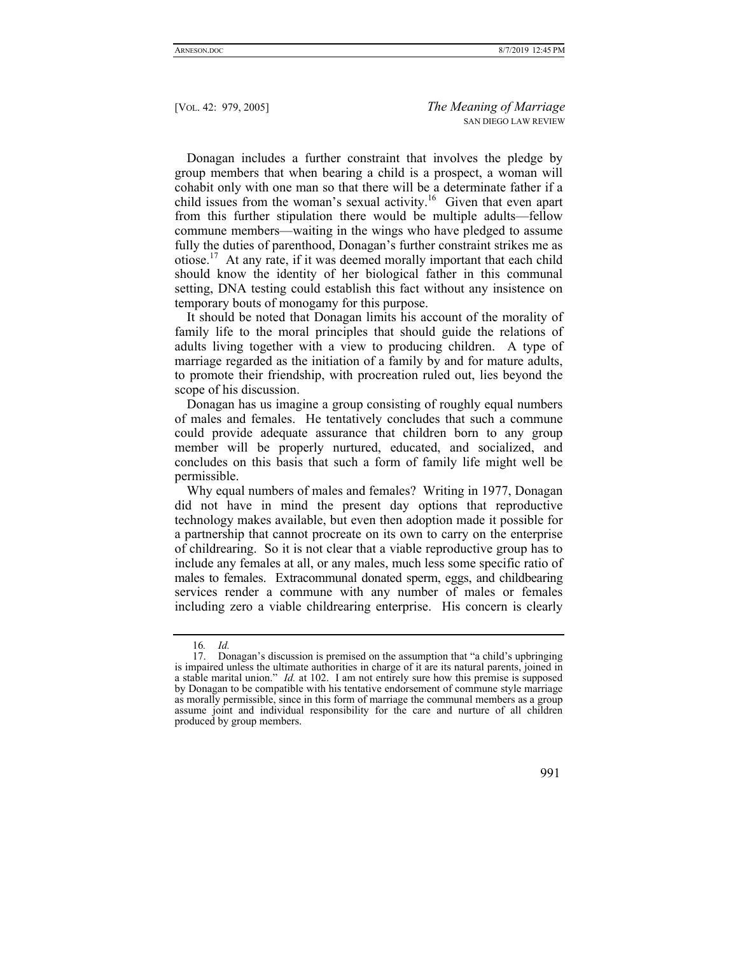Donagan includes a further constraint that involves the pledge by group members that when bearing a child is a prospect, a woman will cohabit only with one man so that there will be a determinate father if a child issues from the woman's sexual activity.<sup>16</sup> Given that even apart from this further stipulation there would be multiple adults—fellow commune members—waiting in the wings who have pledged to assume fully the duties of parenthood, Donagan's further constraint strikes me as otiose.17 At any rate, if it was deemed morally important that each child should know the identity of her biological father in this communal setting, DNA testing could establish this fact without any insistence on temporary bouts of monogamy for this purpose.

It should be noted that Donagan limits his account of the morality of family life to the moral principles that should guide the relations of adults living together with a view to producing children. A type of marriage regarded as the initiation of a family by and for mature adults, to promote their friendship, with procreation ruled out, lies beyond the scope of his discussion.

Donagan has us imagine a group consisting of roughly equal numbers of males and females. He tentatively concludes that such a commune could provide adequate assurance that children born to any group member will be properly nurtured, educated, and socialized, and concludes on this basis that such a form of family life might well be permissible.

Why equal numbers of males and females? Writing in 1977, Donagan did not have in mind the present day options that reproductive technology makes available, but even then adoption made it possible for a partnership that cannot procreate on its own to carry on the enterprise of childrearing. So it is not clear that a viable reproductive group has to include any females at all, or any males, much less some specific ratio of males to females. Extracommunal donated sperm, eggs, and childbearing services render a commune with any number of males or females including zero a viable childrearing enterprise. His concern is clearly

 <sup>17.</sup> Donagan's discussion is premised on the assumption that "a child's upbringing is impaired unless the ultimate authorities in charge of it are its natural parents, joined in a stable marital union." *Id.* at 102. I am not entirely sure how this premise is supposed by Donagan to be compatible with his tentative endorsement of commune style marriage as morally permissible, since in this form of marriage the communal members as a group assume joint and individual responsibility for the care and nurture of all children produced by group members.



<sup>16</sup>*. Id.*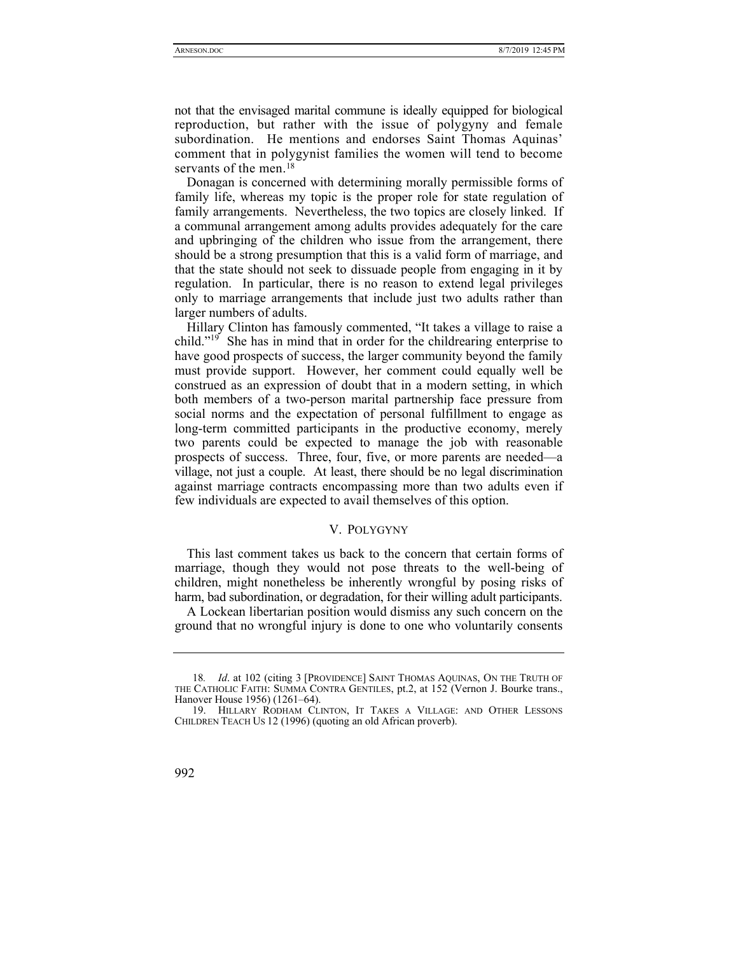not that the envisaged marital commune is ideally equipped for biological reproduction, but rather with the issue of polygyny and female subordination. He mentions and endorses Saint Thomas Aquinas' comment that in polygynist families the women will tend to become servants of the men.<sup>18</sup>

Donagan is concerned with determining morally permissible forms of family life, whereas my topic is the proper role for state regulation of family arrangements. Nevertheless, the two topics are closely linked. If a communal arrangement among adults provides adequately for the care and upbringing of the children who issue from the arrangement, there should be a strong presumption that this is a valid form of marriage, and that the state should not seek to dissuade people from engaging in it by regulation. In particular, there is no reason to extend legal privileges only to marriage arrangements that include just two adults rather than larger numbers of adults.

Hillary Clinton has famously commented, "It takes a village to raise a child." $19^{\circ}$  She has in mind that in order for the childrearing enterprise to have good prospects of success, the larger community beyond the family must provide support. However, her comment could equally well be construed as an expression of doubt that in a modern setting, in which both members of a two-person marital partnership face pressure from social norms and the expectation of personal fulfillment to engage as long-term committed participants in the productive economy, merely two parents could be expected to manage the job with reasonable prospects of success. Three, four, five, or more parents are needed—a village, not just a couple. At least, there should be no legal discrimination against marriage contracts encompassing more than two adults even if few individuals are expected to avail themselves of this option.

# V. POLYGYNY

This last comment takes us back to the concern that certain forms of marriage, though they would not pose threats to the well-being of children, might nonetheless be inherently wrongful by posing risks of harm, bad subordination, or degradation, for their willing adult participants.

A Lockean libertarian position would dismiss any such concern on the ground that no wrongful injury is done to one who voluntarily consents

 <sup>19.</sup> HILLARY RODHAM CLINTON, IT TAKES A VILLAGE: AND OTHER LESSONS CHILDREN TEACH US 12 (1996) (quoting an old African proverb).



<sup>18</sup>*. Id*. at 102 (citing 3 [PROVIDENCE] SAINT THOMAS AQUINAS, ON THE TRUTH OF THE CATHOLIC FAITH: SUMMA CONTRA GENTILES, pt.2, at 152 (Vernon J. Bourke trans., Hanover House 1956) (1261–64).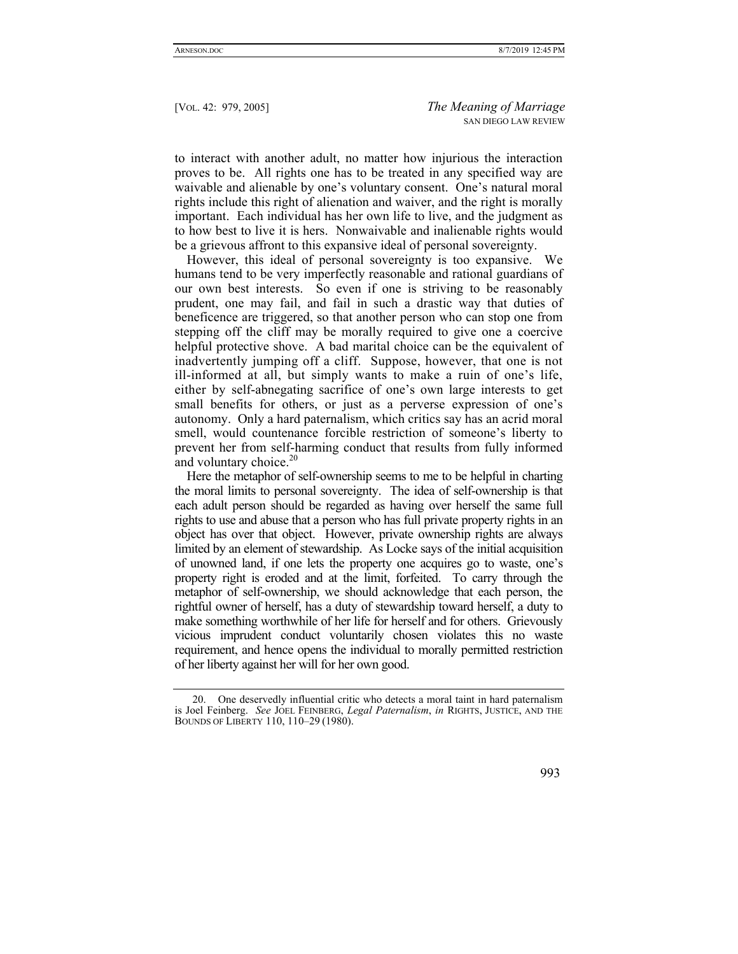to interact with another adult, no matter how injurious the interaction proves to be. All rights one has to be treated in any specified way are waivable and alienable by one's voluntary consent. One's natural moral rights include this right of alienation and waiver, and the right is morally important. Each individual has her own life to live, and the judgment as to how best to live it is hers. Nonwaivable and inalienable rights would be a grievous affront to this expansive ideal of personal sovereignty.

However, this ideal of personal sovereignty is too expansive. We humans tend to be very imperfectly reasonable and rational guardians of our own best interests. So even if one is striving to be reasonably prudent, one may fail, and fail in such a drastic way that duties of beneficence are triggered, so that another person who can stop one from stepping off the cliff may be morally required to give one a coercive helpful protective shove. A bad marital choice can be the equivalent of inadvertently jumping off a cliff. Suppose, however, that one is not ill-informed at all, but simply wants to make a ruin of one's life, either by self-abnegating sacrifice of one's own large interests to get small benefits for others, or just as a perverse expression of one's autonomy. Only a hard paternalism, which critics say has an acrid moral smell, would countenance forcible restriction of someone's liberty to prevent her from self-harming conduct that results from fully informed and voluntary choice. $20$ 

Here the metaphor of self-ownership seems to me to be helpful in charting the moral limits to personal sovereignty. The idea of self-ownership is that each adult person should be regarded as having over herself the same full rights to use and abuse that a person who has full private property rights in an object has over that object. However, private ownership rights are always limited by an element of stewardship. As Locke says of the initial acquisition of unowned land, if one lets the property one acquires go to waste, one's property right is eroded and at the limit, forfeited. To carry through the metaphor of self-ownership, we should acknowledge that each person, the rightful owner of herself, has a duty of stewardship toward herself, a duty to make something worthwhile of her life for herself and for others. Grievously vicious imprudent conduct voluntarily chosen violates this no waste requirement, and hence opens the individual to morally permitted restriction of her liberty against her will for her own good.

 <sup>20.</sup> One deservedly influential critic who detects a moral taint in hard paternalism is Joel Feinberg. *See* JOEL FEINBERG, *Legal Paternalism*, *in* RIGHTS, JUSTICE, AND THE BOUNDS OF LIBERTY 110, 110–29 (1980).

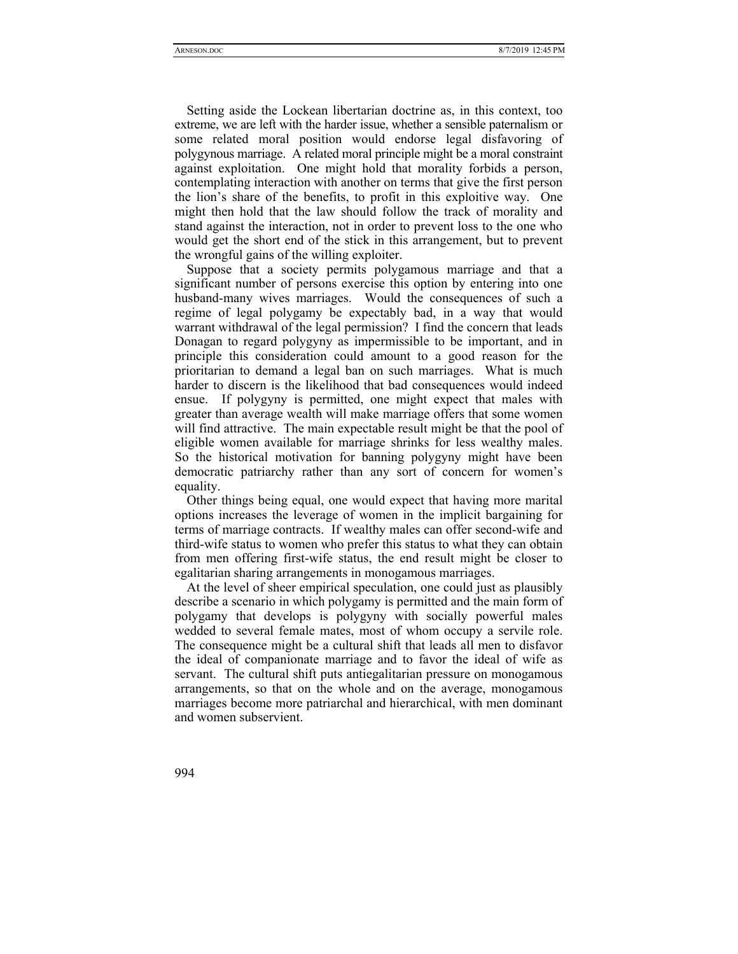Setting aside the Lockean libertarian doctrine as, in this context, too extreme, we are left with the harder issue, whether a sensible paternalism or some related moral position would endorse legal disfavoring of polygynous marriage. A related moral principle might be a moral constraint against exploitation. One might hold that morality forbids a person, contemplating interaction with another on terms that give the first person the lion's share of the benefits, to profit in this exploitive way. One might then hold that the law should follow the track of morality and stand against the interaction, not in order to prevent loss to the one who would get the short end of the stick in this arrangement, but to prevent the wrongful gains of the willing exploiter.

Suppose that a society permits polygamous marriage and that a significant number of persons exercise this option by entering into one husband-many wives marriages. Would the consequences of such a regime of legal polygamy be expectably bad, in a way that would warrant withdrawal of the legal permission? I find the concern that leads Donagan to regard polygyny as impermissible to be important, and in principle this consideration could amount to a good reason for the prioritarian to demand a legal ban on such marriages. What is much harder to discern is the likelihood that bad consequences would indeed ensue. If polygyny is permitted, one might expect that males with greater than average wealth will make marriage offers that some women will find attractive. The main expectable result might be that the pool of eligible women available for marriage shrinks for less wealthy males. So the historical motivation for banning polygyny might have been democratic patriarchy rather than any sort of concern for women's equality.

Other things being equal, one would expect that having more marital options increases the leverage of women in the implicit bargaining for terms of marriage contracts. If wealthy males can offer second-wife and third-wife status to women who prefer this status to what they can obtain from men offering first-wife status, the end result might be closer to egalitarian sharing arrangements in monogamous marriages.

At the level of sheer empirical speculation, one could just as plausibly describe a scenario in which polygamy is permitted and the main form of polygamy that develops is polygyny with socially powerful males wedded to several female mates, most of whom occupy a servile role. The consequence might be a cultural shift that leads all men to disfavor the ideal of companionate marriage and to favor the ideal of wife as servant. The cultural shift puts antiegalitarian pressure on monogamous arrangements, so that on the whole and on the average, monogamous marriages become more patriarchal and hierarchical, with men dominant and women subservient.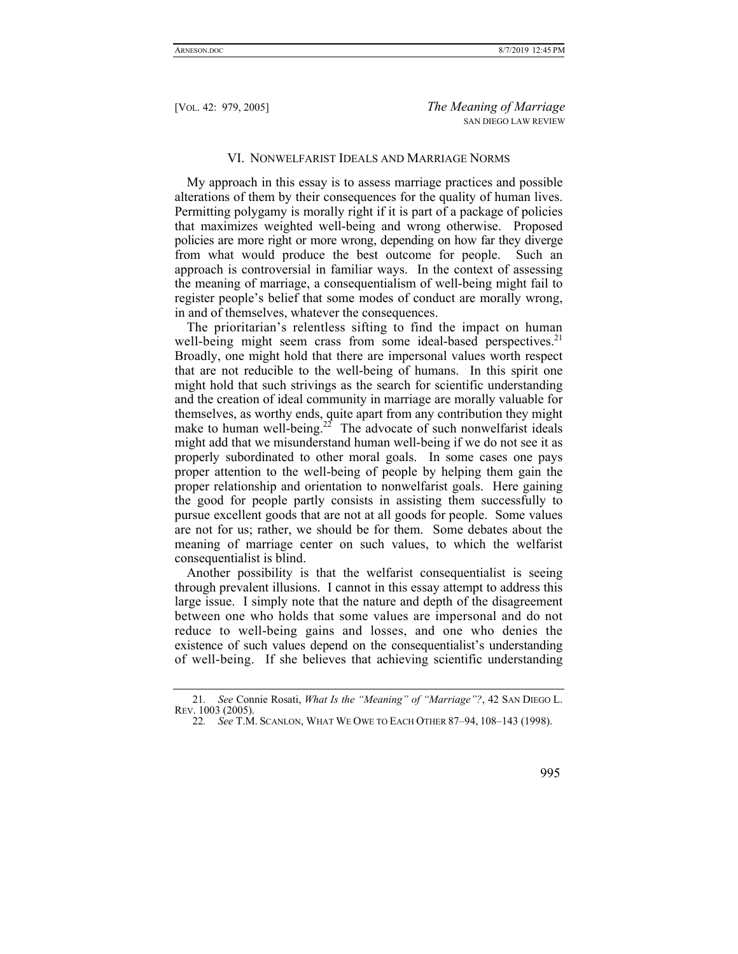#### VI. NONWELFARIST IDEALS AND MARRIAGE NORMS

My approach in this essay is to assess marriage practices and possible alterations of them by their consequences for the quality of human lives. Permitting polygamy is morally right if it is part of a package of policies that maximizes weighted well-being and wrong otherwise. Proposed policies are more right or more wrong, depending on how far they diverge from what would produce the best outcome for people. Such an approach is controversial in familiar ways. In the context of assessing the meaning of marriage, a consequentialism of well-being might fail to register people's belief that some modes of conduct are morally wrong, in and of themselves, whatever the consequences.

The prioritarian's relentless sifting to find the impact on human well-being might seem crass from some ideal-based perspectives.<sup>21</sup> Broadly, one might hold that there are impersonal values worth respect that are not reducible to the well-being of humans. In this spirit one might hold that such strivings as the search for scientific understanding and the creation of ideal community in marriage are morally valuable for themselves, as worthy ends, quite apart from any contribution they might make to human well-being.<sup>22</sup> The advocate of such nonwelfarist ideals might add that we misunderstand human well-being if we do not see it as properly subordinated to other moral goals. In some cases one pays proper attention to the well-being of people by helping them gain the proper relationship and orientation to nonwelfarist goals. Here gaining the good for people partly consists in assisting them successfully to pursue excellent goods that are not at all goods for people. Some values are not for us; rather, we should be for them. Some debates about the meaning of marriage center on such values, to which the welfarist consequentialist is blind.

Another possibility is that the welfarist consequentialist is seeing through prevalent illusions. I cannot in this essay attempt to address this large issue. I simply note that the nature and depth of the disagreement between one who holds that some values are impersonal and do not reduce to well-being gains and losses, and one who denies the existence of such values depend on the consequentialist's understanding of well-being. If she believes that achieving scientific understanding

<sup>22</sup>*. See* T.M. SCANLON, WHAT WE OWE TO EACH OTHER 87–94, 108–143 (1998).



<sup>21</sup>*. See* Connie Rosati, *What Is the "Meaning" of "Marriage"?*, 42 SAN DIEGO L. REV. 1003 (2005).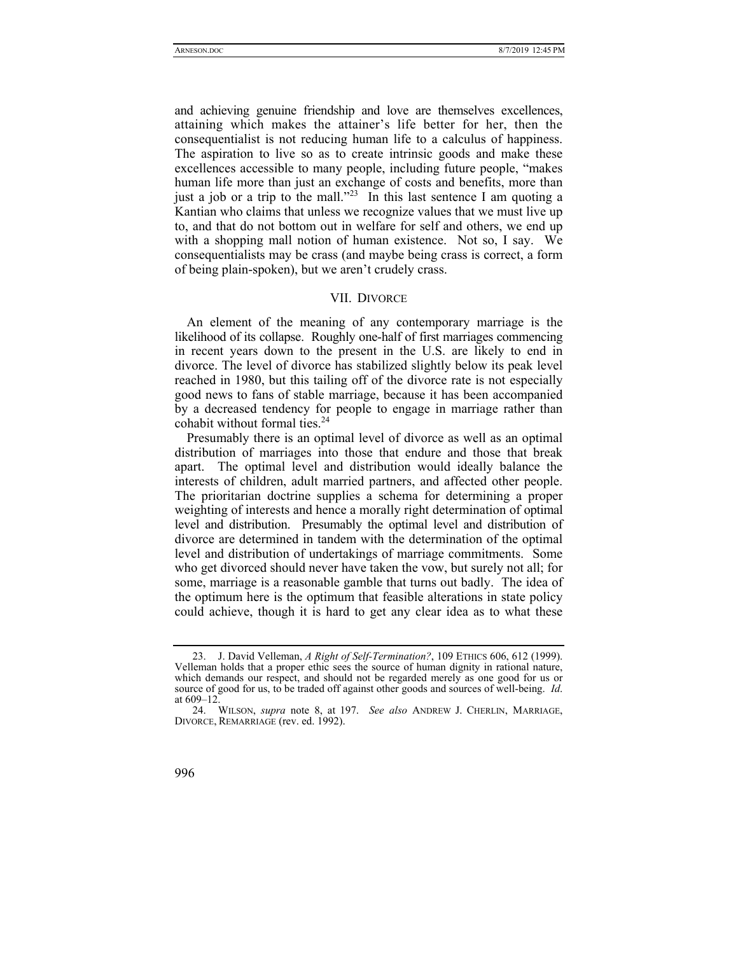and achieving genuine friendship and love are themselves excellences, attaining which makes the attainer's life better for her, then the consequentialist is not reducing human life to a calculus of happiness. The aspiration to live so as to create intrinsic goods and make these excellences accessible to many people, including future people, "makes human life more than just an exchange of costs and benefits, more than just a job or a trip to the mall."<sup>23</sup> In this last sentence I am quoting a Kantian who claims that unless we recognize values that we must live up to, and that do not bottom out in welfare for self and others, we end up with a shopping mall notion of human existence. Not so, I say. We consequentialists may be crass (and maybe being crass is correct, a form of being plain-spoken), but we aren't crudely crass.

#### VII. DIVORCE

An element of the meaning of any contemporary marriage is the likelihood of its collapse. Roughly one-half of first marriages commencing in recent years down to the present in the U.S. are likely to end in divorce. The level of divorce has stabilized slightly below its peak level reached in 1980, but this tailing off of the divorce rate is not especially good news to fans of stable marriage, because it has been accompanied by a decreased tendency for people to engage in marriage rather than cohabit without formal ties.<sup>24</sup>

Presumably there is an optimal level of divorce as well as an optimal distribution of marriages into those that endure and those that break apart. The optimal level and distribution would ideally balance the interests of children, adult married partners, and affected other people. The prioritarian doctrine supplies a schema for determining a proper weighting of interests and hence a morally right determination of optimal level and distribution. Presumably the optimal level and distribution of divorce are determined in tandem with the determination of the optimal level and distribution of undertakings of marriage commitments. Some who get divorced should never have taken the vow, but surely not all; for some, marriage is a reasonable gamble that turns out badly. The idea of the optimum here is the optimum that feasible alterations in state policy could achieve, though it is hard to get any clear idea as to what these

 <sup>24.</sup> WILSON, *supra* note 8, at 197. *See also* ANDREW J. CHERLIN, MARRIAGE, DIVORCE, REMARRIAGE (rev. ed. 1992).



 <sup>23.</sup> J. David Velleman, *A Right of Self-Termination?*, 109 ETHICS 606, 612 (1999). Velleman holds that a proper ethic sees the source of human dignity in rational nature, which demands our respect, and should not be regarded merely as one good for us or source of good for us, to be traded off against other goods and sources of well-being. *Id*. at 609–12.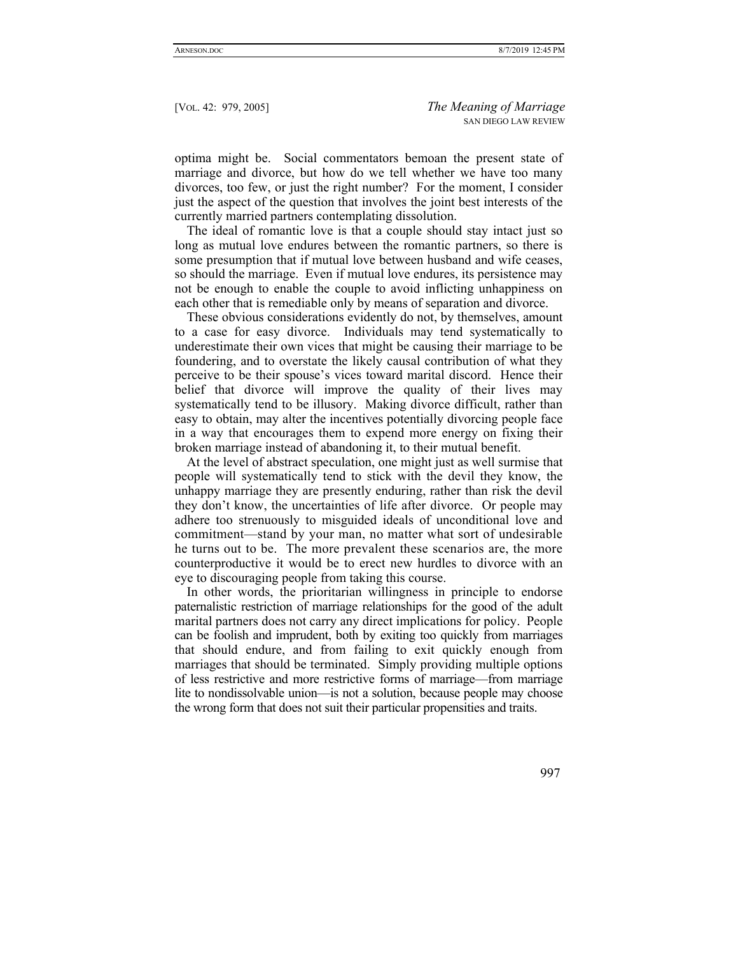optima might be. Social commentators bemoan the present state of marriage and divorce, but how do we tell whether we have too many divorces, too few, or just the right number? For the moment, I consider just the aspect of the question that involves the joint best interests of the currently married partners contemplating dissolution.

The ideal of romantic love is that a couple should stay intact just so long as mutual love endures between the romantic partners, so there is some presumption that if mutual love between husband and wife ceases, so should the marriage. Even if mutual love endures, its persistence may not be enough to enable the couple to avoid inflicting unhappiness on each other that is remediable only by means of separation and divorce.

These obvious considerations evidently do not, by themselves, amount to a case for easy divorce. Individuals may tend systematically to underestimate their own vices that might be causing their marriage to be foundering, and to overstate the likely causal contribution of what they perceive to be their spouse's vices toward marital discord. Hence their belief that divorce will improve the quality of their lives may systematically tend to be illusory. Making divorce difficult, rather than easy to obtain, may alter the incentives potentially divorcing people face in a way that encourages them to expend more energy on fixing their broken marriage instead of abandoning it, to their mutual benefit.

At the level of abstract speculation, one might just as well surmise that people will systematically tend to stick with the devil they know, the unhappy marriage they are presently enduring, rather than risk the devil they don't know, the uncertainties of life after divorce. Or people may adhere too strenuously to misguided ideals of unconditional love and commitment—stand by your man, no matter what sort of undesirable he turns out to be. The more prevalent these scenarios are, the more counterproductive it would be to erect new hurdles to divorce with an eye to discouraging people from taking this course.

In other words, the prioritarian willingness in principle to endorse paternalistic restriction of marriage relationships for the good of the adult marital partners does not carry any direct implications for policy. People can be foolish and imprudent, both by exiting too quickly from marriages that should endure, and from failing to exit quickly enough from marriages that should be terminated. Simply providing multiple options of less restrictive and more restrictive forms of marriage—from marriage lite to nondissolvable union—is not a solution, because people may choose the wrong form that does not suit their particular propensities and traits.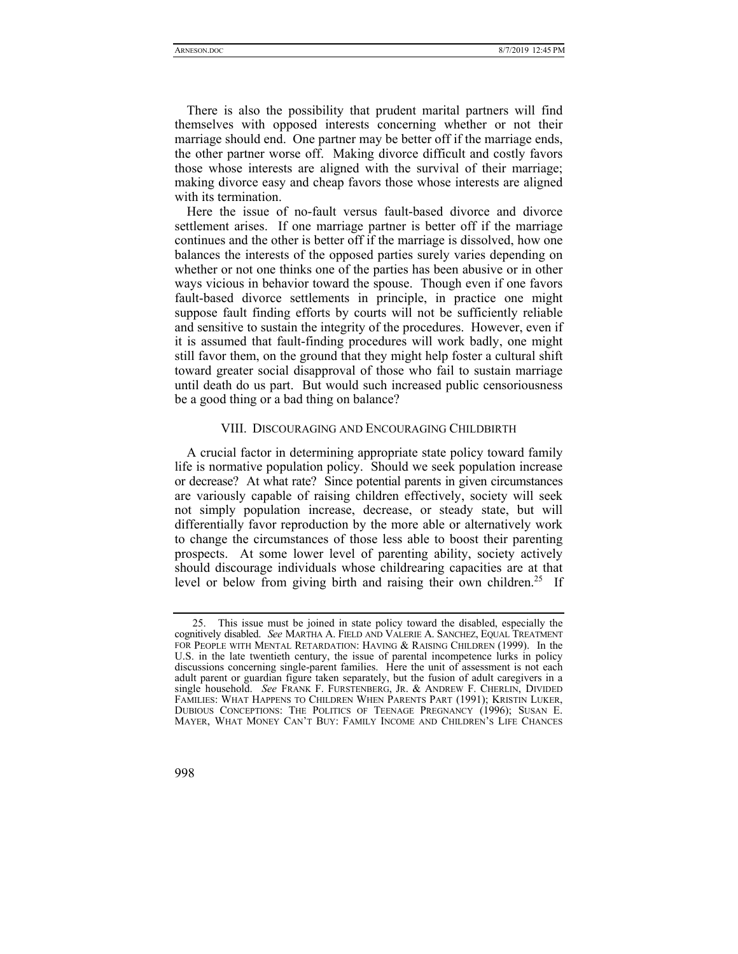There is also the possibility that prudent marital partners will find themselves with opposed interests concerning whether or not their marriage should end. One partner may be better off if the marriage ends, the other partner worse off. Making divorce difficult and costly favors those whose interests are aligned with the survival of their marriage; making divorce easy and cheap favors those whose interests are aligned with its termination.

Here the issue of no-fault versus fault-based divorce and divorce settlement arises. If one marriage partner is better off if the marriage continues and the other is better off if the marriage is dissolved, how one balances the interests of the opposed parties surely varies depending on whether or not one thinks one of the parties has been abusive or in other ways vicious in behavior toward the spouse. Though even if one favors fault-based divorce settlements in principle, in practice one might suppose fault finding efforts by courts will not be sufficiently reliable and sensitive to sustain the integrity of the procedures. However, even if it is assumed that fault-finding procedures will work badly, one might still favor them, on the ground that they might help foster a cultural shift toward greater social disapproval of those who fail to sustain marriage until death do us part. But would such increased public censoriousness be a good thing or a bad thing on balance?

# VIII. DISCOURAGING AND ENCOURAGING CHILDBIRTH

A crucial factor in determining appropriate state policy toward family life is normative population policy. Should we seek population increase or decrease? At what rate? Since potential parents in given circumstances are variously capable of raising children effectively, society will seek not simply population increase, decrease, or steady state, but will differentially favor reproduction by the more able or alternatively work to change the circumstances of those less able to boost their parenting prospects. At some lower level of parenting ability, society actively should discourage individuals whose childrearing capacities are at that level or below from giving birth and raising their own children.<sup>25</sup> If

 <sup>25.</sup> This issue must be joined in state policy toward the disabled, especially the cognitively disabled. *See* MARTHA A. FIELD AND VALERIE A. SANCHEZ, EQUAL TREATMENT FOR PEOPLE WITH MENTAL RETARDATION: HAVING & RAISING CHILDREN (1999). In the U.S. in the late twentieth century, the issue of parental incompetence lurks in policy discussions concerning single-parent families. Here the unit of assessment is not each adult parent or guardian figure taken separately, but the fusion of adult caregivers in a single household. *See* FRANK F. FURSTENBERG, JR. & ANDREW F. CHERLIN, DIVIDED FAMILIES: WHAT HAPPENS TO CHILDREN WHEN PARENTS PART (1991); KRISTIN LUKER, DUBIOUS CONCEPTIONS: THE POLITICS OF TEENAGE PREGNANCY (1996); SUSAN E. MAYER, WHAT MONEY CAN'T BUY: FAMILY INCOME AND CHILDREN'S LIFE CHANCES

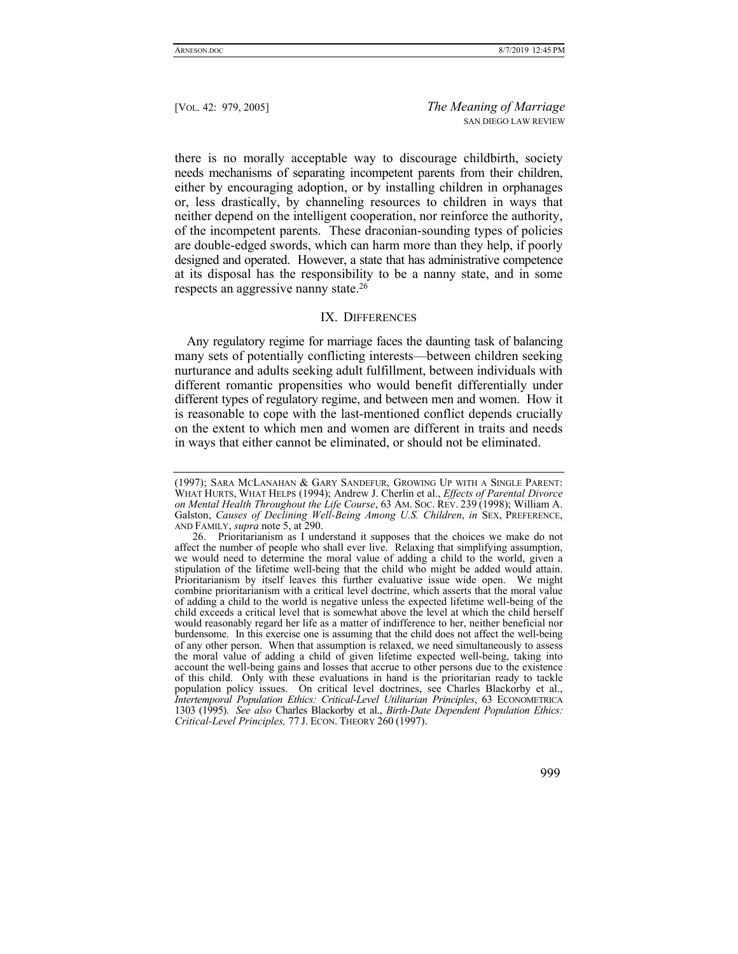there is no morally acceptable way to discourage childbirth, society needs mechanisms of separating incompetent parents from their children, either by encouraging adoption, or by installing children in orphanages or, less drastically, by channeling resources to children in ways that neither depend on the intelligent cooperation, nor reinforce the authority, of the incompetent parents. These draconian-sounding types of policies are double-edged swords, which can harm more than they help, if poorly designed and operated. However, a state that has administrative competence at its disposal has the responsibility to be a nanny state, and in some respects an aggressive nanny state.26

# IX. DIFFERENCES

Any regulatory regime for marriage faces the daunting task of balancing many sets of potentially conflicting interests—between children seeking nurturance and adults seeking adult fulfillment, between individuals with different romantic propensities who would benefit differentially under different types of regulatory regime, and between men and women. How it is reasonable to cope with the last-mentioned conflict depends crucially on the extent to which men and women are different in traits and needs in ways that either cannot be eliminated, or should not be eliminated.

<sup>(1997);</sup> SARA MCLANAHAN & GARY SANDEFUR, GROWING UP WITH A SINGLE PARENT: WHAT HURTS, WHAT HELPS (1994); Andrew J. Cherlin et al., *Effects of Parental Divorce on Mental Health Throughout the Life Course*, 63 AM. SOC. REV. 239 (1998); William A. Galston, *Causes of Declining Well-Being Among U.S. Children*, *in* SEX, PREFERENCE, AND FAMILY, *supra* note 5, at 290.

 <sup>26.</sup> Prioritarianism as I understand it supposes that the choices we make do not affect the number of people who shall ever live. Relaxing that simplifying assumption, we would need to determine the moral value of adding a child to the world, given a stipulation of the lifetime well-being that the child who might be added would attain. Prioritarianism by itself leaves this further evaluative issue wide open. We might combine prioritarianism with a critical level doctrine, which asserts that the moral value of adding a child to the world is negative unless the expected lifetime well-being of the child exceeds a critical level that is somewhat above the level at which the child herself would reasonably regard her life as a matter of indifference to her, neither beneficial nor burdensome. In this exercise one is assuming that the child does not affect the well-being of any other person. When that assumption is relaxed, we need simultaneously to assess the moral value of adding a child of given lifetime expected well-being, taking into account the well-being gains and losses that accrue to other persons due to the existence of this child. Only with these evaluations in hand is the prioritarian ready to tackle population policy issues. On critical level doctrines, see Charles Blackorby et al., *Intertemporal Population Ethics: Critical-Level Utilitarian Principles*, 63 ECONOMETRICA 1303 (1995). *See also* Charles Blackorby et al., *Birth-Date Dependent Population Ethics: Critical-Level Principles,* 77 J. ECON. THEORY 260 (1997).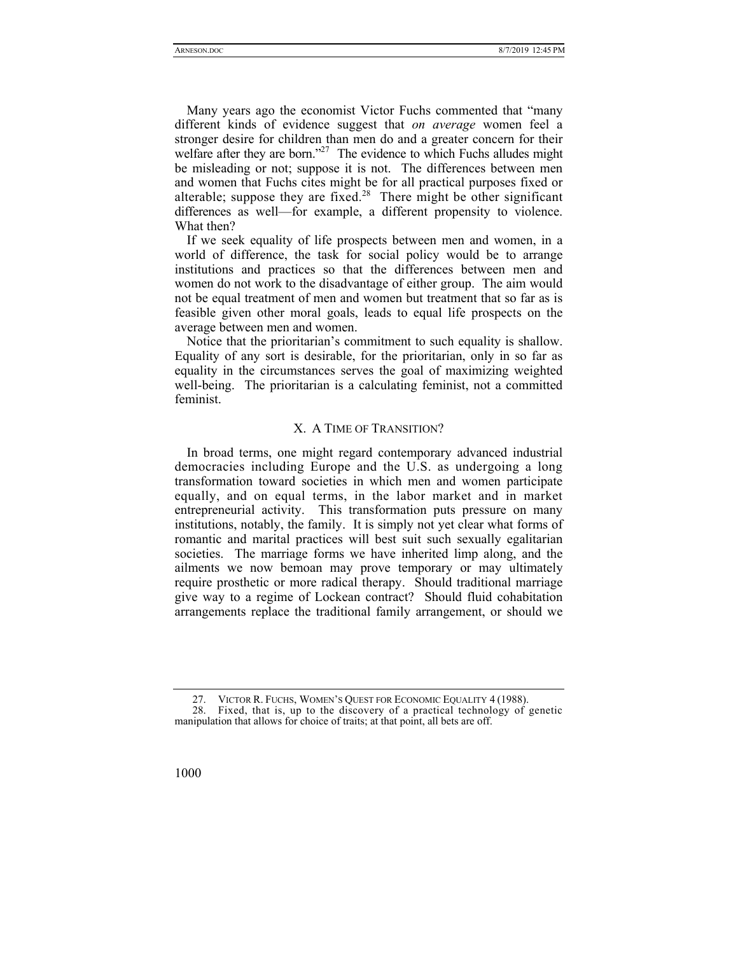Many years ago the economist Victor Fuchs commented that "many different kinds of evidence suggest that *on average* women feel a stronger desire for children than men do and a greater concern for their welfare after they are born."<sup>27</sup> The evidence to which Fuchs alludes might be misleading or not; suppose it is not. The differences between men and women that Fuchs cites might be for all practical purposes fixed or alterable; suppose they are fixed.<sup>28</sup> There might be other significant differences as well—for example, a different propensity to violence. What then?

If we seek equality of life prospects between men and women, in a world of difference, the task for social policy would be to arrange institutions and practices so that the differences between men and women do not work to the disadvantage of either group. The aim would not be equal treatment of men and women but treatment that so far as is feasible given other moral goals, leads to equal life prospects on the average between men and women.

Notice that the prioritarian's commitment to such equality is shallow. Equality of any sort is desirable, for the prioritarian, only in so far as equality in the circumstances serves the goal of maximizing weighted well-being. The prioritarian is a calculating feminist, not a committed feminist.

# X. A TIME OF TRANSITION?

In broad terms, one might regard contemporary advanced industrial democracies including Europe and the U.S. as undergoing a long transformation toward societies in which men and women participate equally, and on equal terms, in the labor market and in market entrepreneurial activity. This transformation puts pressure on many institutions, notably, the family. It is simply not yet clear what forms of romantic and marital practices will best suit such sexually egalitarian societies. The marriage forms we have inherited limp along, and the ailments we now bemoan may prove temporary or may ultimately require prosthetic or more radical therapy. Should traditional marriage give way to a regime of Lockean contract? Should fluid cohabitation arrangements replace the traditional family arrangement, or should we

 <sup>27.</sup> VICTOR R. FUCHS, WOMEN'S QUEST FOR ECONOMIC EQUALITY 4 (1988).

 <sup>28.</sup> Fixed, that is, up to the discovery of a practical technology of genetic manipulation that allows for choice of traits; at that point, all bets are off.

<sup>1000</sup>